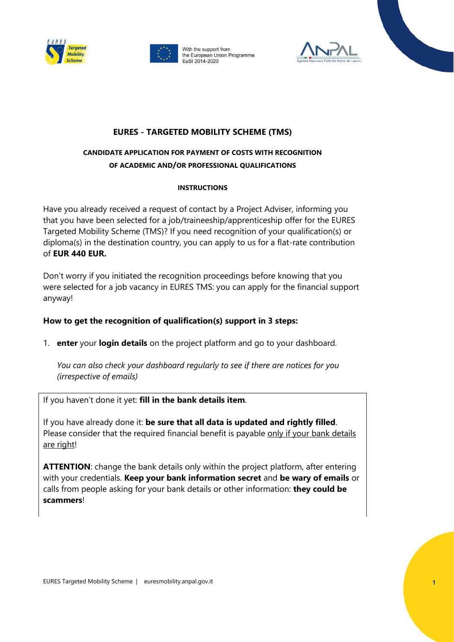



With the support from the European Union Programme EaSI 2014-2020



## **EURES - TARGETED MOBILITY SCHEME (TMS)**

# **CANDIDATE APPLICATION FOR PAYMENT OF COSTS WITH RECOGNITION OF ACADEMIC AND/OR PROFESSIONAL QUALIFICATIONS**

#### **INSTRUCTIONS**

Have you already received a request of contact by a Project Adviser, informing you that you have been selected for a job/traineeship/apprenticeship offer for the EURES Targeted Mobility Scheme (TMS)? If you need recognition of your qualification(s) or diploma(s) in the destination country, you can apply to us for a flat-rate contribution of **EUR 440 EUR.** 

Don't worry if you initiated the recognition proceedings before knowing that you were selected for a job vacancy in EURES TMS: you can apply for the financial support anyway!

### **How to get the recognition of qualification(s) support in 3 steps:**

1. **enter** your **login details** on the project platform and go to your dashboard.

*You can also check your dashboard regularly to see if there are notices for you (irrespective of emails)*

If you haven't done it yet: **fill in the bank details item**.

If you have already done it: **be sure that all data is updated and rightly filled**. Please consider that the required financial benefit is payable only if your bank details are right!

**ATTENTION**: change the bank details only within the project platform, after entering with your credentials. **Keep your bank information secret** and **be wary of emails** or calls from people asking for your bank details or other information: **they could be scammers**!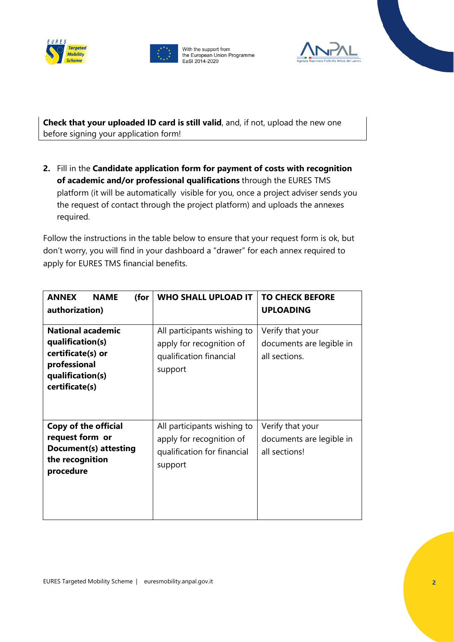





**Check that your uploaded ID card is still valid**, and, if not, upload the new one before signing your application form!

**2.** Fill in the **Candidate application form for payment of costs with recognition of academic and/or professional qualifications** through the EURES TMS platform (it will be automatically visible for you, once a project adviser sends you the request of contact through the project platform) and uploads the annexes required.

Follow the instructions in the table below to ensure that your request form is ok, but don't worry, you will find in your dashboard a "drawer" for each annex required to apply for EURES TMS financial benefits.

| <b>ANNEX</b><br><b>NAME</b><br>(for<br>authorization)                                                                   | <b>WHO SHALL UPLOAD IT</b>                                                                        | <b>TO CHECK BEFORE</b><br><b>UPLOADING</b>                    |
|-------------------------------------------------------------------------------------------------------------------------|---------------------------------------------------------------------------------------------------|---------------------------------------------------------------|
| <b>National academic</b><br>qualification(s)<br>certificate(s) or<br>professional<br>qualification(s)<br>certificate(s) | All participants wishing to<br>apply for recognition of<br>qualification financial<br>support     | Verify that your<br>documents are legible in<br>all sections. |
| <b>Copy of the official</b><br>request form or<br>Document(s) attesting<br>the recognition<br>procedure                 | All participants wishing to<br>apply for recognition of<br>qualification for financial<br>support | Verify that your<br>documents are legible in<br>all sections! |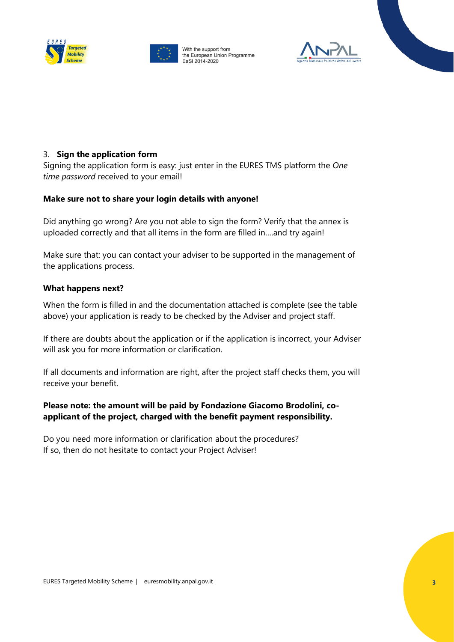





### 3. **Sign the application form**

Signing the application form is easy: just enter in the EURES TMS platform the *One time password* received to your email!

#### **Make sure not to share your login details with anyone!**

Did anything go wrong? Are you not able to sign the form? Verify that the annex is uploaded correctly and that all items in the form are filled in….and try again!

Make sure that: you can contact your adviser to be supported in the management of the applications process.

#### **What happens next?**

When the form is filled in and the documentation attached is complete (see the table above) your application is ready to be checked by the Adviser and project staff.

If there are doubts about the application or if the application is incorrect, your Adviser will ask you for more information or clarification.

If all documents and information are right, after the project staff checks them, you will receive your benefit.

### **Please note: the amount will be paid by Fondazione Giacomo Brodolini, coapplicant of the project, charged with the benefit payment responsibility.**

Do you need more information or clarification about the procedures? If so, then do not hesitate to contact your Project Adviser!